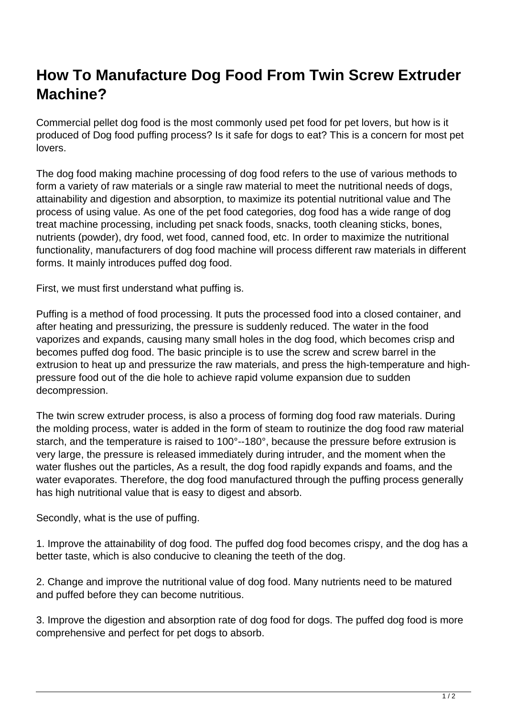## **How To Manufacture Dog Food From Twin Screw Extruder Machine?**

Commercial pellet dog food is the most commonly used pet food for pet lovers, but how is it produced of Dog food puffing process? Is it safe for dogs to eat? This is a concern for most pet lovers.

The dog food making machine processing of dog food refers to the use of various methods to form a variety of raw materials or a single raw material to meet the nutritional needs of dogs, attainability and digestion and absorption, to maximize its potential nutritional value and The process of using value. As one of the pet food categories, dog food has a wide range of dog treat machine processing, including pet snack foods, snacks, tooth cleaning sticks, bones, nutrients (powder), dry food, wet food, canned food, etc. In order to maximize the nutritional functionality, manufacturers of dog food machine will process different raw materials in different forms. It mainly introduces puffed dog food.

First, we must first understand what puffing is.

Puffing is a method of food processing. It puts the processed food into a closed container, and after heating and pressurizing, the pressure is suddenly reduced. The water in the food vaporizes and expands, causing many small holes in the dog food, which becomes crisp and becomes puffed dog food. The basic principle is to use the screw and screw barrel in the extrusion to heat up and pressurize the raw materials, and press the high-temperature and highpressure food out of the die hole to achieve rapid volume expansion due to sudden decompression.

The twin screw extruder process, is also a process of forming dog food raw materials. During the molding process, water is added in the form of steam to routinize the dog food raw material starch, and the temperature is raised to 100°--180°, because the pressure before extrusion is very large, the pressure is released immediately during intruder, and the moment when the water flushes out the particles, As a result, the dog food rapidly expands and foams, and the water evaporates. Therefore, the dog food manufactured through the puffing process generally has high nutritional value that is easy to digest and absorb.

Secondly, what is the use of puffing.

1. Improve the attainability of dog food. The puffed dog food becomes crispy, and the dog has a better taste, which is also conducive to cleaning the teeth of the dog.

2. Change and improve the nutritional value of dog food. Many nutrients need to be matured and puffed before they can become nutritious.

3. Improve the digestion and absorption rate of dog food for dogs. The puffed dog food is more comprehensive and perfect for pet dogs to absorb.